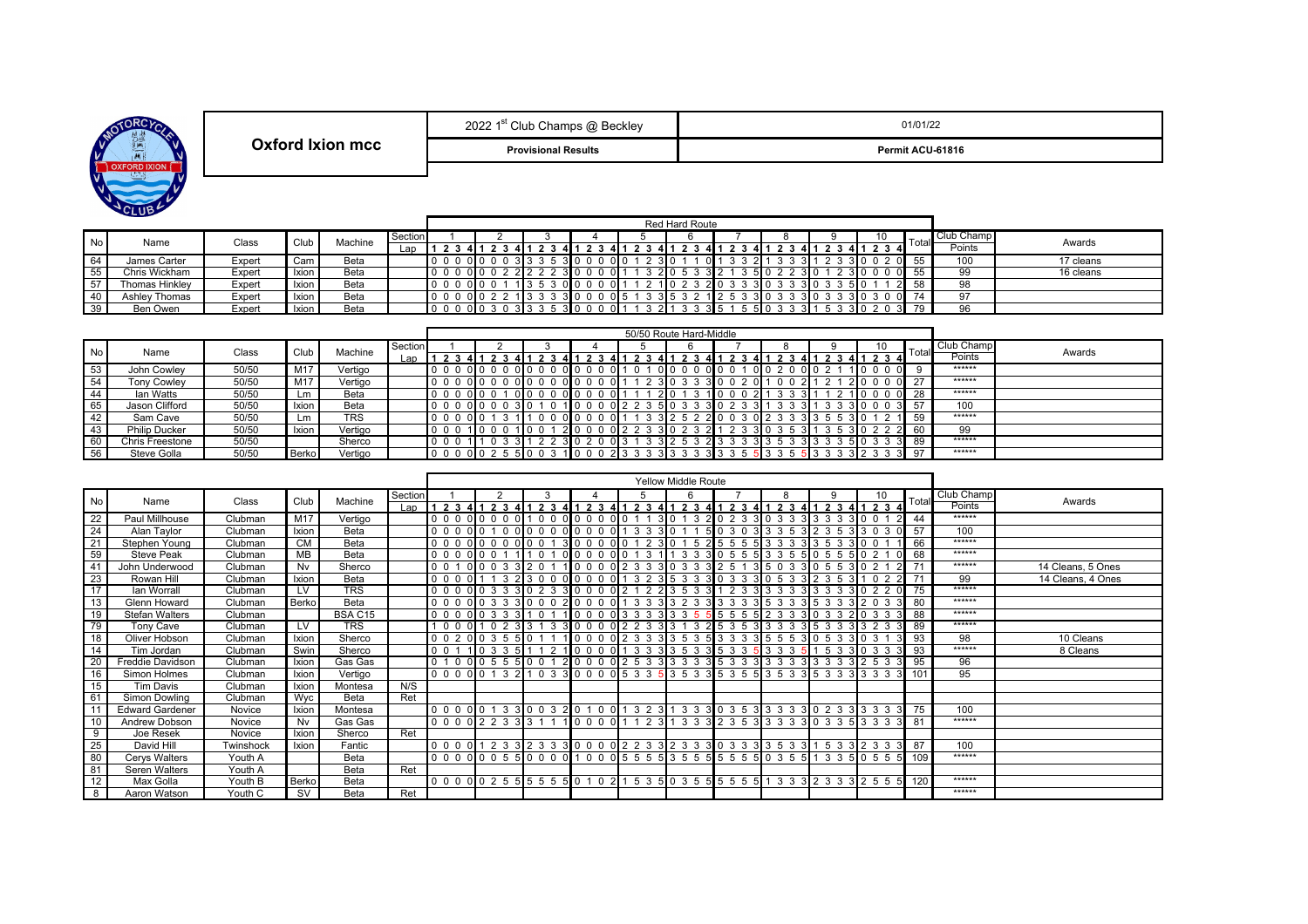| RCYCL<br>MOT           |
|------------------------|
| <b>DIXION</b><br>XFORI |
|                        |
| <b>LUB</b><br>СI       |

|                  | oooo 451<br>" Club Champs @ Beckley<br>ZUZZ 1 | 01/01/22         |
|------------------|-----------------------------------------------|------------------|
| Oxford Ixion mcc | <b>Provisional Results</b>                    | Permit ACU-61816 |

|           |                |        |              |         |         | Red Hard Route  |  |          |       |     |             |             |           |      |                 |        |            |           |
|-----------|----------------|--------|--------------|---------|---------|-----------------|--|----------|-------|-----|-------------|-------------|-----------|------|-----------------|--------|------------|-----------|
| <b>No</b> | Name           |        | Club         | Machine | Section |                 |  |          |       |     |             |             |           |      | ιv              | Total. | Club Champ |           |
|           |                | Class  |              |         | Lan     |                 |  |          |       |     |             |             |           |      |                 |        | Points     | Awards    |
| 64        | James Carter   | Expert | Cam          | Beta    |         | $0\mathsf{I}$   |  |          | 3 I O |     | 310<br>.011 | $2^{\circ}$ |           |      | 30020           |        | 100        | 17 cleans |
| 55        | Chris Wickham  | Expert | <b>Ixion</b> | Beta    |         | 0 I O           |  | $\Omega$ |       |     | 210         |             | 510       | 310  | $\Omega$        |        | 99         | 16 cleans |
| 57        | Thomas Hinkley | Expert | <b>Ixion</b> | Beta    |         | $0\blacksquare$ |  |          |       |     | 210         |             | 31 O      |      | . 0 اد          |        | 98         |           |
| 40        | Ashley Thomas  | Expert | Ixion        | Beta    |         | $0\blacksquare$ |  |          |       | 315 |             |             | 30<br>310 | - 35 | 310<br>$\Omega$ |        | 97         |           |
| 39        | Ben Owen       | Expert |              | Beta    |         | ΩL              |  |          |       |     |             |             | 510       |      | ว∎ก             |        | OR         |           |

|      |                      |       |                 |            |         | 50/50 Route Hard-Middle |                         |                               |                          |              |                   |                    |                 |     |            |              |            |        |
|------|----------------------|-------|-----------------|------------|---------|-------------------------|-------------------------|-------------------------------|--------------------------|--------------|-------------------|--------------------|-----------------|-----|------------|--------------|------------|--------|
| No l | Name                 | Class | Club            | Machine    | Section |                         |                         |                               |                          |              |                   |                    |                 |     | 10         | <b>Total</b> | Club Champ | Awards |
|      |                      |       |                 |            | Lap     |                         |                         |                               |                          | 23           | 23                | 4 I 1              |                 |     | 23<br>-4 I |              | Points     |        |
| 53   | John Cowley          | 50/50 | M <sub>17</sub> | Vertiao    |         | n n<br><u>ດ I ດ</u>     | 0 <sub>0</sub>          | 0 <sub>0</sub>                | $0\,0\,0\,0$<br>- 0 L 1  | $\Omega$     | $0\,$ l $0$       | 000                | 0 I O           | ∩∎∩ |            |              | ******     |        |
| 54   | <b>Tony Cowley</b>   | 50/50 | M <sub>17</sub> | Vertigo    |         |                         | 0 <sub>0</sub><br>0 I O | 0 <sub>0</sub><br>$0\,$ l $0$ | 01000<br>$^{\circ}$      |              | 310               | $0^{\circ}$        |                 |     |            |              | ******     |        |
| 44   | lan Watts            | 50/50 | ∟m.             | Beta       |         | 0 I G                   | $\Omega$                | 0 <sub>0</sub><br>010         | $0\,0\,0\,0$<br>∩ I ·    |              |                   | 110<br>$2^{\circ}$ |                 |     |            | - 28         | ******     |        |
| 65   | Jason Clifford       | 50/50 | Ixion           | Beta       |         | 010                     |                         |                               |                          | $0\,2\,2\,3$ | 33<br>510         | 302<br>-311        | 33              |     |            | 57           | 100        |        |
| 42   | Sam Cave             | 50/50 | Lm.             | <b>TRS</b> |         |                         | 0 I O                   |                               | $00$ 0 0<br>$\mathbf{u}$ |              | 52<br>$2\sqrt{0}$ | 0 <sub>2</sub>     |                 |     | 310        | 59           | ******     |        |
| 43   | <b>Philip Ducker</b> | 50/50 | Ixion           | Vertigo    |         |                         | 0 <sub>0</sub><br>1 I O |                               | 2000                     | $0\,2\,2\,3$ |                   |                    | 31 <sub>0</sub> |     | 310        | 60           | 99         |        |
| 60   | Chris Freestone      | 50/50 |                 | Sherco     |         |                         | 03                      |                               |                          |              | 213               | 3I                 |                 | 510 |            | 31 89        | ******     |        |
| 56   | Steve Golla          | 50/50 | <b>Berko</b>    | Vertigo    |         | 011                     |                         |                               | 1000                     | 3<br>2 3 3   | 33<br>313         |                    | -5              |     |            | - 97         | ******     |        |

|    |                        |           |           |                |         | Yellow Middle Route    |  |  |                                                                                                                                                                                                                                |                                               |                                   |  |   |    |       |            |                   |
|----|------------------------|-----------|-----------|----------------|---------|------------------------|--|--|--------------------------------------------------------------------------------------------------------------------------------------------------------------------------------------------------------------------------------|-----------------------------------------------|-----------------------------------|--|---|----|-------|------------|-------------------|
| No | Name                   | Class     | Club      | Machine        | Section |                        |  |  |                                                                                                                                                                                                                                |                                               |                                   |  | 9 | 10 | Total | Club Champ | Awards            |
|    |                        |           |           |                | Lap     |                        |  |  | 1 2 3 4 1 2 3 4 1 2 3 4 1 2 3 4 1 2 3 4 1 2 3 4 1 2 3 4 1 2 3 4 1 2 3 4 1 2 3 4 1 2 3 4                                                                                                                                        |                                               |                                   |  |   |    |       | Points     |                   |
| 22 | Paul Millhouse         | Clubman   | M17       | Vertigo        |         | 0000000010000000011    |  |  |                                                                                                                                                                                                                                | 3 0 1 3 2 0 2 3 3 0 3 3 3 3 3 3 3 0 0 1 2 4 4 |                                   |  |   |    |       | ******     |                   |
| 24 | Alan Taylor            | Clubman   | Ixion     | Beta           |         |                        |  |  | 0 0 0 0 0 1 0 0 0 0 0 0 0 0 0 0 0 1 3 3 3 0 1 1                                                                                                                                                                                |                                               | 5 0 3 0 3 3 3 5 3 2 3 5 3 3 0 3 0 |  |   |    | 57    | 100        |                   |
| 21 | Stephen Young          | Clubman   | <b>CM</b> | Beta           |         |                        |  |  | 0 0 0 0 0 0 0 0 0 0 0 1 3 0 0 0 0 0 1 2 3 0 1 5 2 5 5 5 5 3 3 3 3 3 3 4 5 6 7 8 9 0 1 1 66                                                                                                                                     |                                               |                                   |  |   |    |       | ******     |                   |
| 59 | <b>Steve Peak</b>      | Clubman   | <b>MB</b> | Beta           |         |                        |  |  | 0 0 0 0 0 0 1 1 1 0 1 0 0 0 0 0 0 1 3 1 1 3 3 3 0 5 5 5 3 3 5 5 0 5 5 5 0 2 1 0                                                                                                                                                |                                               |                                   |  |   |    | 68    | ******     |                   |
| 41 | John Underwood         | Clubman   | Nv        | Sherco         |         | 0 0 1 0 0 0 3 3 2 0 1  |  |  | 10000233303325135033055                                                                                                                                                                                                        |                                               |                                   |  |   |    |       | ******     | 14 Cleans, 5 Ones |
| 23 | Rowan Hill             | Clubman   | Ixion     | Beta           |         |                        |  |  | 0 0 0 0   1 1 3 2   3 0 0 0   0 0 0 0   1 3 2 3   5 3 3 3   0 3 3 3   0 5 3 3   2 3 5 3   1                                                                                                                                    |                                               |                                   |  |   |    |       | 99         | 14 Cleans, 4 Ones |
| 17 | lan Worrall            | Clubman   | <b>LV</b> | <b>TRS</b>     |         |                        |  |  | 0 0 0 0 0 3 3 3 0 2 3 3 0 0 0 0 2 1 2 2 3 5 3 3 1 2 3 3 3 3 3 3 3 3 3 4 0 2 2 0                                                                                                                                                |                                               |                                   |  |   |    |       | ******     |                   |
| 13 | Glenn Howard           | Clubman   | Berko     | Beta           |         |                        |  |  | 0 0 0 0 0 3 3 3 10 0 0 2 10 0 0 0 1 3 3 3 13 2 3 3 13 3 3 3 15 3 3 3 16 3 3 3 12 0 3 3 1                                                                                                                                       |                                               |                                   |  |   |    | 80    | ******     |                   |
| 19 | <b>Stefan Walters</b>  | Clubman   |           | <b>BSA C15</b> |         | 0 0 0 0 0 3 3 3 1 0 1  |  |  | 10000333335555555233303320333                                                                                                                                                                                                  |                                               |                                   |  |   |    | 88    | ******     |                   |
| 79 | Tony Cave              | Clubman   | LV        | <b>TRS</b>     |         |                        |  |  | 1 0 0 0 1 0 2 3 3 1 3 3 0 0 0 0 2 2 3 3 3 1 3 2 5 3 5 3 3 3 3 3 5 3 3 3 3 2 3 3 1                                                                                                                                              |                                               |                                   |  |   |    | 89    | ******     |                   |
| 18 | Oliver Hobson          | Clubman   | Ixion     | Sherco         |         |                        |  |  | 0 0 2 0 0 3 5 5 0 1 1 1 0 0 0 0 2 3 3 3 3 5 3 5 5 3 3 4 5 5 5 3 0 5 3 3 6 3 1                                                                                                                                                  |                                               |                                   |  |   |    | 93    | 98         | 10 Cleans         |
| 14 | Tim Jordan             | Clubman   | Swin      | Sherco         |         |                        |  |  | 0 0 1 1 1 0 3 3 5 1 1 2 1 1 0 0 0 0 1 3 3 3 3 5 3 3 5 3 3 5 3 3 5 4 5 3 3 6 6 7 8 9                                                                                                                                            |                                               |                                   |  |   |    | 93    | ******     | 8 Cleans          |
| 20 | Freddie Davidson       | Clubman   | Ixion     | Gas Gas        |         | 0 1 0 0 0 5 5 5 10 0 1 |  |  | 20000025333335333333333333333253                                                                                                                                                                                               |                                               |                                   |  |   |    | 95    | 96         |                   |
| 16 | Simon Holmes           | Clubman   | Ixion     | Vertigo        |         |                        |  |  | 0 0 0 0 0 1 3 2 1 0 3 3 0 0 0 0 5 3 3 5 3 5 3 3 5 3 5 5 3 5 5 3 3 5 5 3 3 5 4 7 6 7                                                                                                                                            |                                               |                                   |  |   |    |       | 95         |                   |
| 15 | <b>Tim Davis</b>       | Clubman   | Ixion     | Montesa        | N/S     |                        |  |  |                                                                                                                                                                                                                                |                                               |                                   |  |   |    |       |            |                   |
| 61 | Simon Dowling          | Clubman   | Wvc       | Beta           | Ret     |                        |  |  |                                                                                                                                                                                                                                |                                               |                                   |  |   |    |       |            |                   |
| 11 | <b>Edward Gardener</b> | Novice    | Ixion     | Montesa        |         |                        |  |  | 0 0 0 0 0 1 3 3 0 0 3 2 0 1 0 0 1 3 2 3 1 3 3 3 0 3 5 3 3 3 3 3 4 0 2 3 3 3 3 3 4 75                                                                                                                                           |                                               |                                   |  |   |    |       | 100        |                   |
| 10 | Andrew Dobson          | Novice    | Nv        | Gas Gas        |         |                        |  |  | 0 0 0 0 2 2 3 3 3 4 5 6 7 8 9 0 1 2 3 4 5 6 7 8 9 1 2 3 4 5 6 7 8 9 1 2 3 4 5 6 7 8 9 20 3 4 5 6 7 8 9 1 2 3 4 5 6 7 8 9 1 2 3 4 5 6 7 8 9 1 2 3 4 5 6 7 8 9 1 2 3 4 5 6 7 8 9 1 2 3 4 5 6 7 8 9 1 2 3 4 5 6 7 8 9 1 2 3 4 5 6 |                                               |                                   |  |   |    | 81    | ******     |                   |
| 9  | Joe Resek              | Novice    | Ixion     | Sherco         | Ret     |                        |  |  |                                                                                                                                                                                                                                |                                               |                                   |  |   |    |       |            |                   |
| 25 | David Hill             | Twinshock | Ixion     | Fantic         |         |                        |  |  |                                                                                                                                                                                                                                |                                               |                                   |  |   |    |       | 100        |                   |
| 80 | Cerys Walters          | Youth A   |           | Beta           |         |                        |  |  |                                                                                                                                                                                                                                |                                               |                                   |  |   |    |       | ******     |                   |
| 81 | Seren Walters          | Youth A   |           | Beta           | Ret     |                        |  |  |                                                                                                                                                                                                                                |                                               |                                   |  |   |    |       |            |                   |
| 12 | Max Golla              | Youth B   | Berko     | Beta           |         |                        |  |  | 0 0 0 0 0 2 5 5 5 5 5 5 6 0 1 0 2 1 5 3 5 0 3 5 5 5 5 5 5 6 1 3 3 3 2 3 3 3 2 5 5 6 120                                                                                                                                        |                                               |                                   |  |   |    |       | ******     |                   |
| 8  | Aaron Watson           | Youth C   | <b>SV</b> | Beta           | Ret     |                        |  |  |                                                                                                                                                                                                                                |                                               |                                   |  |   |    |       | ******     |                   |